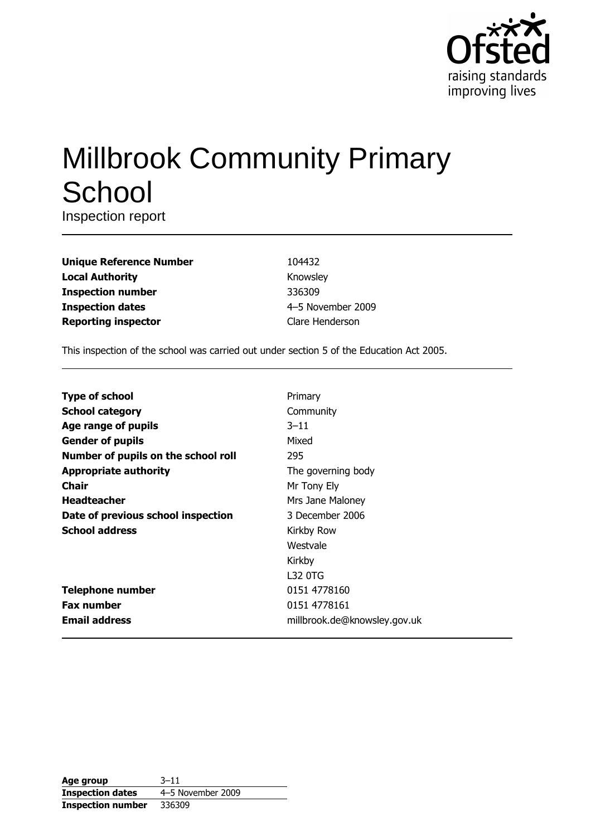

# **Millbrook Community Primary** School

Inspection report

| <b>Unique Reference Number</b> |
|--------------------------------|
| <b>Local Authority</b>         |
| <b>Inspection number</b>       |
| <b>Inspection dates</b>        |
| <b>Reporting inspector</b>     |

104432 Knowsley 336309 4-5 November 2009 Clare Henderson

This inspection of the school was carried out under section 5 of the Education Act 2005.

| <b>Type of school</b>               | Primary                      |
|-------------------------------------|------------------------------|
| <b>School category</b>              | Community                    |
| Age range of pupils                 | $3 - 11$                     |
| <b>Gender of pupils</b>             | Mixed                        |
| Number of pupils on the school roll | 295                          |
| <b>Appropriate authority</b>        | The governing body           |
| Chair                               | Mr Tony Ely                  |
| <b>Headteacher</b>                  | Mrs Jane Maloney             |
| Date of previous school inspection  | 3 December 2006              |
| <b>School address</b>               | Kirkby Row                   |
|                                     | Westvale                     |
|                                     | Kirkby                       |
|                                     | L32 0TG                      |
| <b>Telephone number</b>             | 0151 4778160                 |
| <b>Fax number</b>                   | 0151 4778161                 |
| <b>Email address</b>                | millbrook.de@knowsley.gov.uk |

| Age group                | $3 - 11$          |
|--------------------------|-------------------|
| <b>Inspection dates</b>  | 4-5 November 2009 |
| <b>Inspection number</b> | 336309            |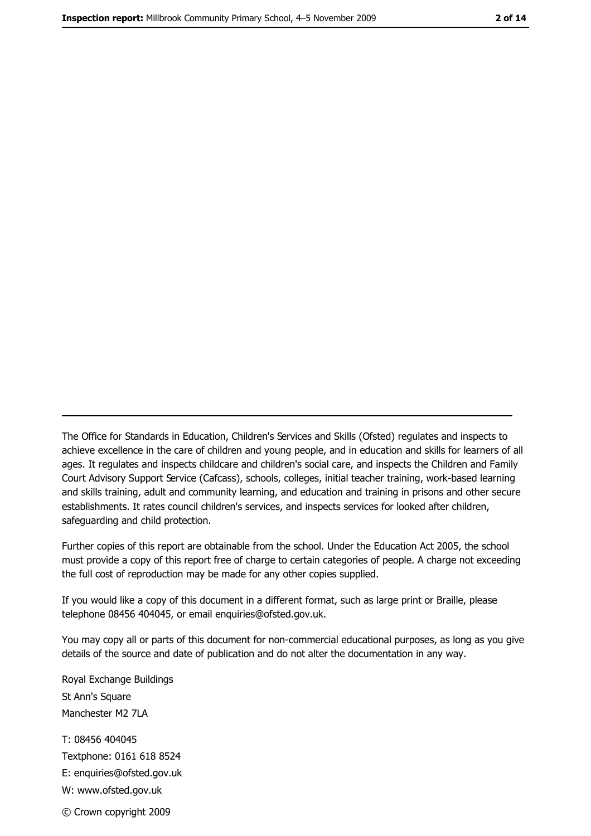The Office for Standards in Education, Children's Services and Skills (Ofsted) regulates and inspects to achieve excellence in the care of children and young people, and in education and skills for learners of all ages. It regulates and inspects childcare and children's social care, and inspects the Children and Family Court Advisory Support Service (Cafcass), schools, colleges, initial teacher training, work-based learning and skills training, adult and community learning, and education and training in prisons and other secure establishments. It rates council children's services, and inspects services for looked after children, safequarding and child protection.

Further copies of this report are obtainable from the school. Under the Education Act 2005, the school must provide a copy of this report free of charge to certain categories of people. A charge not exceeding the full cost of reproduction may be made for any other copies supplied.

If you would like a copy of this document in a different format, such as large print or Braille, please telephone 08456 404045, or email enquiries@ofsted.gov.uk.

You may copy all or parts of this document for non-commercial educational purposes, as long as you give details of the source and date of publication and do not alter the documentation in any way.

Royal Exchange Buildings St Ann's Square Manchester M2 7LA T: 08456 404045 Textphone: 0161 618 8524 E: enquiries@ofsted.gov.uk W: www.ofsted.gov.uk © Crown copyright 2009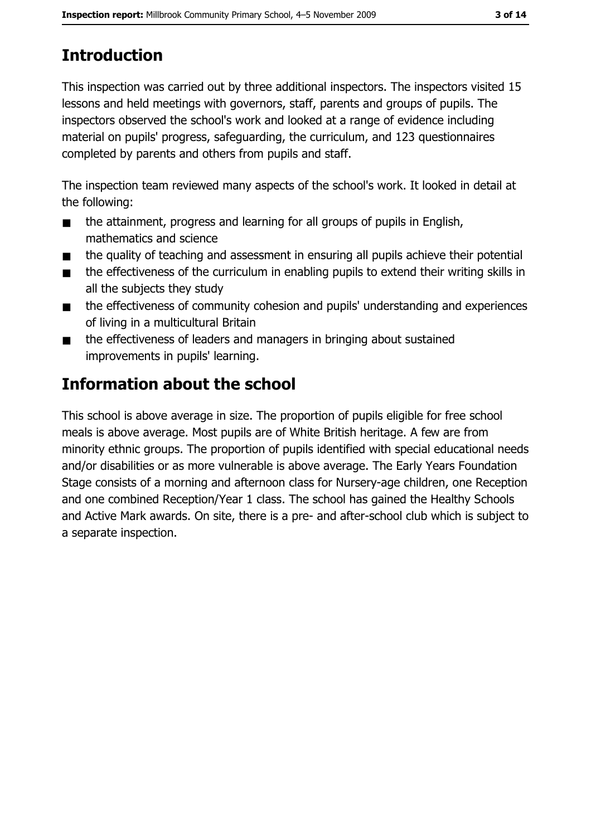# **Introduction**

This inspection was carried out by three additional inspectors. The inspectors visited 15 lessons and held meetings with governors, staff, parents and groups of pupils. The inspectors observed the school's work and looked at a range of evidence including material on pupils' progress, safeguarding, the curriculum, and 123 questionnaires completed by parents and others from pupils and staff.

The inspection team reviewed many aspects of the school's work. It looked in detail at the following:

- the attainment, progress and learning for all groups of pupils in English,  $\blacksquare$ mathematics and science
- the quality of teaching and assessment in ensuring all pupils achieve their potential  $\blacksquare$
- the effectiveness of the curriculum in enabling pupils to extend their writing skills in  $\blacksquare$ all the subjects they study
- the effectiveness of community cohesion and pupils' understanding and experiences  $\blacksquare$ of living in a multicultural Britain
- the effectiveness of leaders and managers in bringing about sustained  $\blacksquare$ improvements in pupils' learning.

# **Information about the school**

This school is above average in size. The proportion of pupils eligible for free school meals is above average. Most pupils are of White British heritage. A few are from minority ethnic groups. The proportion of pupils identified with special educational needs and/or disabilities or as more vulnerable is above average. The Early Years Foundation Stage consists of a morning and afternoon class for Nursery-age children, one Reception and one combined Reception/Year 1 class. The school has gained the Healthy Schools and Active Mark awards. On site, there is a pre- and after-school club which is subject to a separate inspection.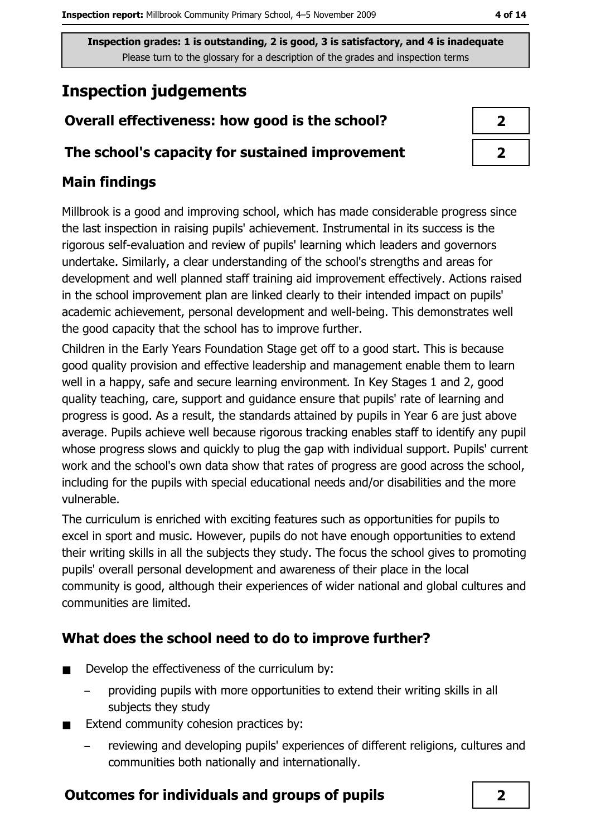# **Inspection judgements**

## Overall effectiveness: how good is the school?

#### The school's capacity for sustained improvement

## **Main findings**

Millbrook is a good and improving school, which has made considerable progress since the last inspection in raising pupils' achievement. Instrumental in its success is the rigorous self-evaluation and review of pupils' learning which leaders and governors undertake. Similarly, a clear understanding of the school's strengths and areas for development and well planned staff training aid improvement effectively. Actions raised in the school improvement plan are linked clearly to their intended impact on pupils' academic achievement, personal development and well-being. This demonstrates well the good capacity that the school has to improve further.

Children in the Early Years Foundation Stage get off to a good start. This is because good quality provision and effective leadership and management enable them to learn well in a happy, safe and secure learning environment. In Key Stages 1 and 2, good quality teaching, care, support and guidance ensure that pupils' rate of learning and progress is good. As a result, the standards attained by pupils in Year 6 are just above average. Pupils achieve well because rigorous tracking enables staff to identify any pupil whose progress slows and quickly to plug the gap with individual support. Pupils' current work and the school's own data show that rates of progress are good across the school, including for the pupils with special educational needs and/or disabilities and the more vulnerable.

The curriculum is enriched with exciting features such as opportunities for pupils to excel in sport and music. However, pupils do not have enough opportunities to extend their writing skills in all the subjects they study. The focus the school gives to promoting pupils' overall personal development and awareness of their place in the local community is good, although their experiences of wider national and global cultures and communities are limited.

## What does the school need to do to improve further?

- Develop the effectiveness of the curriculum by:  $\blacksquare$ 
	- providing pupils with more opportunities to extend their writing skills in all subjects they study
- Extend community cohesion practices by:  $\blacksquare$ 
	- reviewing and developing pupils' experiences of different religions, cultures and communities both nationally and internationally.

#### **Outcomes for individuals and groups of pupils**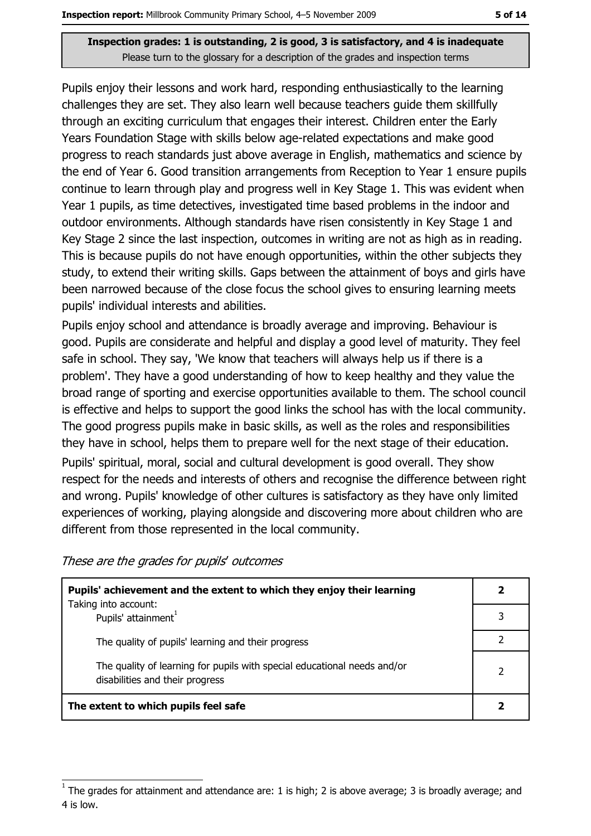Pupils enjoy their lessons and work hard, responding enthusiastically to the learning challenges they are set. They also learn well because teachers guide them skillfully through an exciting curriculum that engages their interest. Children enter the Early Years Foundation Stage with skills below age-related expectations and make good progress to reach standards just above average in English, mathematics and science by the end of Year 6. Good transition arrangements from Reception to Year 1 ensure pupils continue to learn through play and progress well in Key Stage 1. This was evident when Year 1 pupils, as time detectives, investigated time based problems in the indoor and outdoor environments. Although standards have risen consistently in Key Stage 1 and Key Stage 2 since the last inspection, outcomes in writing are not as high as in reading. This is because pupils do not have enough opportunities, within the other subjects they study, to extend their writing skills. Gaps between the attainment of boys and girls have been narrowed because of the close focus the school gives to ensuring learning meets pupils' individual interests and abilities.

Pupils enjoy school and attendance is broadly average and improving. Behaviour is good. Pupils are considerate and helpful and display a good level of maturity. They feel safe in school. They say, 'We know that teachers will always help us if there is a problem'. They have a good understanding of how to keep healthy and they value the broad range of sporting and exercise opportunities available to them. The school council is effective and helps to support the good links the school has with the local community. The good progress pupils make in basic skills, as well as the roles and responsibilities they have in school, helps them to prepare well for the next stage of their education. Pupils' spiritual, moral, social and cultural development is good overall. They show respect for the needs and interests of others and recognise the difference between right and wrong. Pupils' knowledge of other cultures is satisfactory as they have only limited experiences of working, playing alongside and discovering more about children who are different from those represented in the local community.

These are the grades for pupils' outcomes

| Pupils' achievement and the extent to which they enjoy their learning<br>Taking into account:               |                |  |
|-------------------------------------------------------------------------------------------------------------|----------------|--|
| Pupils' attainment <sup>1</sup>                                                                             | 3              |  |
| The quality of pupils' learning and their progress                                                          |                |  |
| The quality of learning for pupils with special educational needs and/or<br>disabilities and their progress | $\overline{2}$ |  |
| The extent to which pupils feel safe                                                                        |                |  |

The grades for attainment and attendance are: 1 is high; 2 is above average; 3 is broadly average; and 4 is low.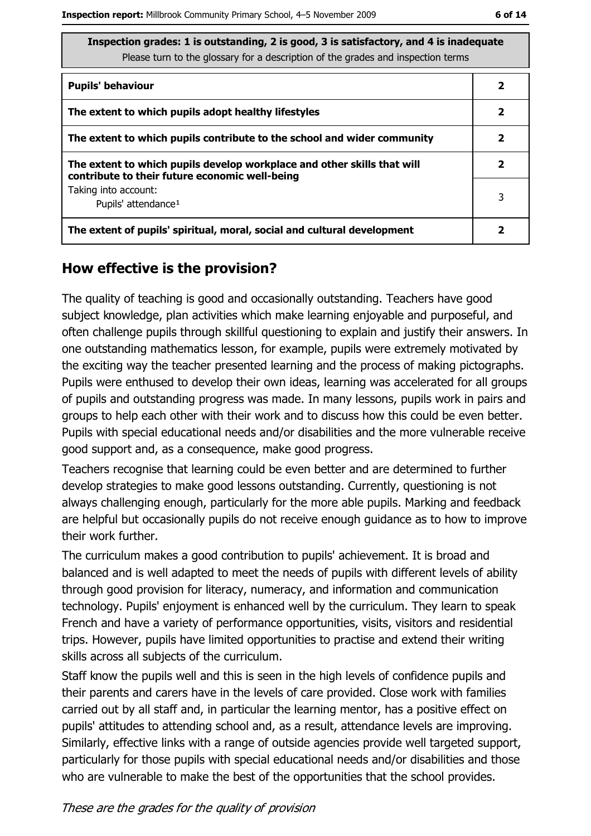| <b>Pupils' behaviour</b>                                                                                                  | 2 |
|---------------------------------------------------------------------------------------------------------------------------|---|
| The extent to which pupils adopt healthy lifestyles                                                                       | 2 |
| The extent to which pupils contribute to the school and wider community                                                   | 2 |
| The extent to which pupils develop workplace and other skills that will<br>contribute to their future economic well-being | 2 |
| Taking into account:<br>Pupils' attendance <sup>1</sup>                                                                   | 3 |
| The extent of pupils' spiritual, moral, social and cultural development                                                   |   |

#### How effective is the provision?

The quality of teaching is good and occasionally outstanding. Teachers have good subject knowledge, plan activities which make learning enjoyable and purposeful, and often challenge pupils through skillful questioning to explain and justify their answers. In one outstanding mathematics lesson, for example, pupils were extremely motivated by the exciting way the teacher presented learning and the process of making pictographs. Pupils were enthused to develop their own ideas, learning was accelerated for all groups of pupils and outstanding progress was made. In many lessons, pupils work in pairs and groups to help each other with their work and to discuss how this could be even better. Pupils with special educational needs and/or disabilities and the more vulnerable receive good support and, as a consequence, make good progress.

Teachers recognise that learning could be even better and are determined to further develop strategies to make good lessons outstanding. Currently, questioning is not always challenging enough, particularly for the more able pupils. Marking and feedback are helpful but occasionally pupils do not receive enough guidance as to how to improve their work further.

The curriculum makes a good contribution to pupils' achievement. It is broad and balanced and is well adapted to meet the needs of pupils with different levels of ability through good provision for literacy, numeracy, and information and communication technology. Pupils' enjoyment is enhanced well by the curriculum. They learn to speak French and have a variety of performance opportunities, visits, visitors and residential trips. However, pupils have limited opportunities to practise and extend their writing skills across all subjects of the curriculum.

Staff know the pupils well and this is seen in the high levels of confidence pupils and their parents and carers have in the levels of care provided. Close work with families carried out by all staff and, in particular the learning mentor, has a positive effect on pupils' attitudes to attending school and, as a result, attendance levels are improving. Similarly, effective links with a range of outside agencies provide well targeted support, particularly for those pupils with special educational needs and/or disabilities and those who are vulnerable to make the best of the opportunities that the school provides.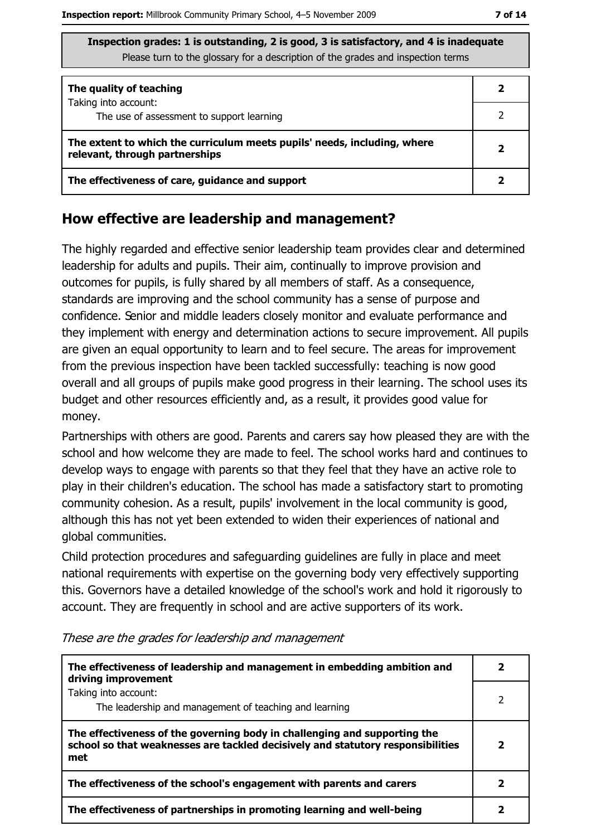| The quality of teaching                                                                                    |  |
|------------------------------------------------------------------------------------------------------------|--|
| Taking into account:<br>The use of assessment to support learning                                          |  |
| The extent to which the curriculum meets pupils' needs, including, where<br>relevant, through partnerships |  |
| The effectiveness of care, guidance and support                                                            |  |

#### How effective are leadership and management?

The highly regarded and effective senior leadership team provides clear and determined leadership for adults and pupils. Their aim, continually to improve provision and outcomes for pupils, is fully shared by all members of staff. As a consequence, standards are improving and the school community has a sense of purpose and confidence. Senior and middle leaders closely monitor and evaluate performance and they implement with energy and determination actions to secure improvement. All pupils are given an equal opportunity to learn and to feel secure. The areas for improvement from the previous inspection have been tackled successfully: teaching is now good overall and all groups of pupils make good progress in their learning. The school uses its budget and other resources efficiently and, as a result, it provides good value for money.

Partnerships with others are good. Parents and carers say how pleased they are with the school and how welcome they are made to feel. The school works hard and continues to develop ways to engage with parents so that they feel that they have an active role to play in their children's education. The school has made a satisfactory start to promoting community cohesion. As a result, pupils' involvement in the local community is good, although this has not yet been extended to widen their experiences of national and global communities.

Child protection procedures and safeguarding guidelines are fully in place and meet national requirements with expertise on the governing body very effectively supporting this. Governors have a detailed knowledge of the school's work and hold it rigorously to account. They are frequently in school and are active supporters of its work.

| The effectiveness of leadership and management in embedding ambition and<br>driving improvement                                                                     | 2             |
|---------------------------------------------------------------------------------------------------------------------------------------------------------------------|---------------|
| Taking into account:<br>The leadership and management of teaching and learning                                                                                      | $\mathcal{P}$ |
| The effectiveness of the governing body in challenging and supporting the<br>school so that weaknesses are tackled decisively and statutory responsibilities<br>met | 2             |
| The effectiveness of the school's engagement with parents and carers                                                                                                | 2             |
| The effectiveness of partnerships in promoting learning and well-being                                                                                              | 2             |

These are the grades for leadership and management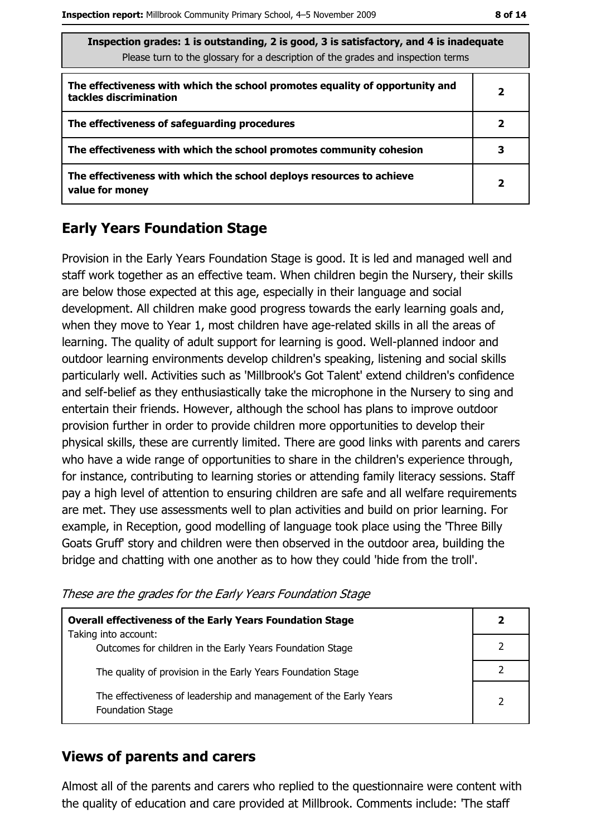| Thispection grades: 1 is outstanding, 2 is good, 3 is satisfactory, and 4 is inadequate<br>Please turn to the glossary for a description of the grades and inspection terms |                         |  |
|-----------------------------------------------------------------------------------------------------------------------------------------------------------------------------|-------------------------|--|
| The effectiveness with which the school promotes equality of opportunity and<br>tackles discrimination                                                                      | 2                       |  |
| The effectiveness of safeguarding procedures                                                                                                                                | $\mathbf{2}$            |  |
| The effectiveness with which the school promotes community cohesion                                                                                                         | 3                       |  |
| The effectiveness with which the school deploys resources to achieve<br>value for money                                                                                     | $\overline{\mathbf{2}}$ |  |

#### **Early Years Foundation Stage**

Provision in the Early Years Foundation Stage is good. It is led and managed well and staff work together as an effective team. When children begin the Nursery, their skills are below those expected at this age, especially in their language and social development. All children make good progress towards the early learning goals and, when they move to Year 1, most children have age-related skills in all the areas of learning. The quality of adult support for learning is good. Well-planned indoor and outdoor learning environments develop children's speaking, listening and social skills particularly well. Activities such as 'Millbrook's Got Talent' extend children's confidence and self-belief as they enthusiastically take the microphone in the Nursery to sing and entertain their friends. However, although the school has plans to improve outdoor provision further in order to provide children more opportunities to develop their physical skills, these are currently limited. There are good links with parents and carers who have a wide range of opportunities to share in the children's experience through, for instance, contributing to learning stories or attending family literacy sessions. Staff pay a high level of attention to ensuring children are safe and all welfare requirements are met. They use assessments well to plan activities and build on prior learning. For example, in Reception, good modelling of language took place using the Three Billy Goats Gruff' story and children were then observed in the outdoor area, building the bridge and chatting with one another as to how they could 'hide from the troll'.

| <b>Overall effectiveness of the Early Years Foundation Stage</b>                             |  |
|----------------------------------------------------------------------------------------------|--|
| Taking into account:<br>Outcomes for children in the Early Years Foundation Stage            |  |
| The quality of provision in the Early Years Foundation Stage                                 |  |
| The effectiveness of leadership and management of the Early Years<br><b>Foundation Stage</b> |  |

These are the grades for the Early Years Foundation Stage

## **Views of parents and carers**

Almost all of the parents and carers who replied to the questionnaire were content with the quality of education and care provided at Millbrook. Comments include: 'The staff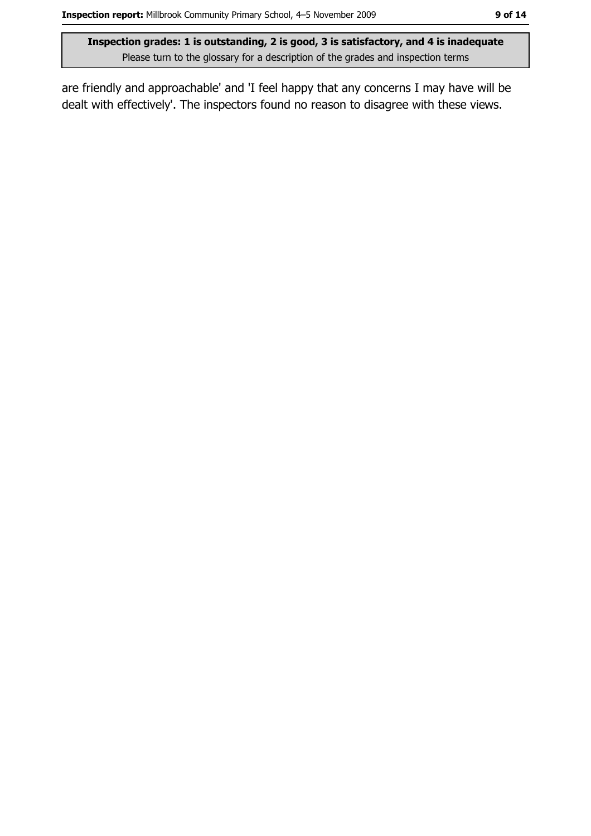are friendly and approachable' and 'I feel happy that any concerns I may have will be dealt with effectively'. The inspectors found no reason to disagree with these views.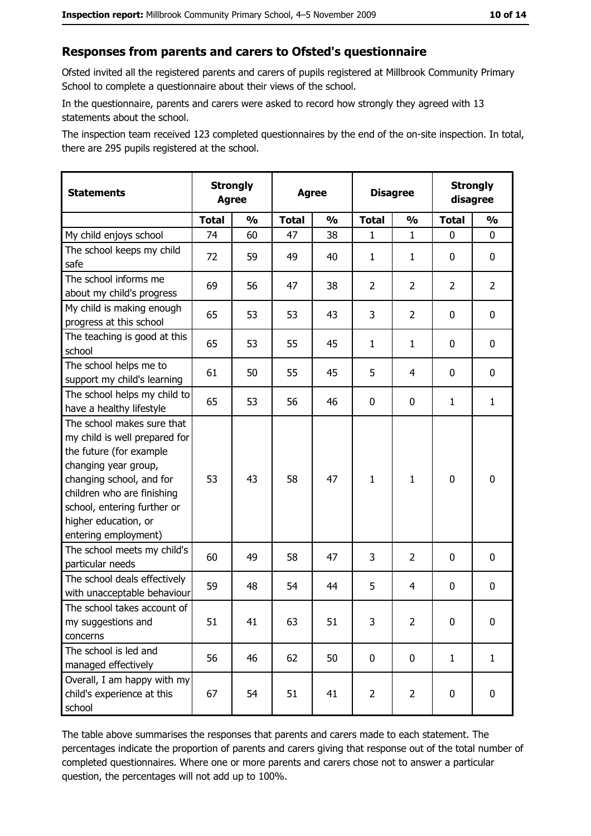#### Responses from parents and carers to Ofsted's questionnaire

Ofsted invited all the registered parents and carers of pupils registered at Millbrook Community Primary School to complete a questionnaire about their views of the school.

In the questionnaire, parents and carers were asked to record how strongly they agreed with 13 statements about the school.

The inspection team received 123 completed questionnaires by the end of the on-site inspection. In total, there are 295 pupils registered at the school.

| <b>Statements</b>                                                                                                                                                                                                                                       |              | <b>Strongly</b><br><b>Agree</b> |              | <b>Agree</b>  |                | <b>Disagree</b> |                | <b>Strongly</b><br>disagree |
|---------------------------------------------------------------------------------------------------------------------------------------------------------------------------------------------------------------------------------------------------------|--------------|---------------------------------|--------------|---------------|----------------|-----------------|----------------|-----------------------------|
|                                                                                                                                                                                                                                                         | <b>Total</b> | $\frac{1}{2}$                   | <b>Total</b> | $\frac{0}{0}$ | <b>Total</b>   | $\frac{1}{2}$   | <b>Total</b>   | $\frac{1}{2}$               |
| My child enjoys school                                                                                                                                                                                                                                  | 74           | 60                              | 47           | 38            | 1              | 1               | 0              | 0                           |
| The school keeps my child<br>safe                                                                                                                                                                                                                       | 72           | 59                              | 49           | 40            | 1              | 1               | 0              | 0                           |
| The school informs me<br>about my child's progress                                                                                                                                                                                                      | 69           | 56                              | 47           | 38            | $\overline{2}$ | $\overline{2}$  | $\overline{2}$ | $\overline{2}$              |
| My child is making enough<br>progress at this school                                                                                                                                                                                                    | 65           | 53                              | 53           | 43            | 3              | $\overline{2}$  | 0              | 0                           |
| The teaching is good at this<br>school                                                                                                                                                                                                                  | 65           | 53                              | 55           | 45            | $\mathbf{1}$   | $\mathbf{1}$    | 0              | 0                           |
| The school helps me to<br>support my child's learning                                                                                                                                                                                                   | 61           | 50                              | 55           | 45            | 5              | 4               | 0              | 0                           |
| The school helps my child to<br>have a healthy lifestyle                                                                                                                                                                                                | 65           | 53                              | 56           | 46            | $\mathbf 0$    | 0               | 1              | $\mathbf{1}$                |
| The school makes sure that<br>my child is well prepared for<br>the future (for example<br>changing year group,<br>changing school, and for<br>children who are finishing<br>school, entering further or<br>higher education, or<br>entering employment) | 53           | 43                              | 58           | 47            | $\mathbf{1}$   | $\mathbf{1}$    | $\mathbf 0$    | $\mathbf 0$                 |
| The school meets my child's<br>particular needs                                                                                                                                                                                                         | 60           | 49                              | 58           | 47            | 3              | $\overline{2}$  | 0              | 0                           |
| The school deals effectively<br>with unacceptable behaviour                                                                                                                                                                                             | 59           | 48                              | 54           | 44            | 5              | 4               | 0              | 0                           |
| The school takes account of<br>my suggestions and<br>concerns                                                                                                                                                                                           | 51           | 41                              | 63           | 51            | 3              | $\overline{2}$  | 0              | $\bf{0}$                    |
| The school is led and<br>managed effectively                                                                                                                                                                                                            | 56           | 46                              | 62           | 50            | $\mathbf 0$    | 0               | $\mathbf{1}$   | $\mathbf{1}$                |
| Overall, I am happy with my<br>child's experience at this<br>school                                                                                                                                                                                     | 67           | 54                              | 51           | 41            | $\overline{2}$ | $\overline{2}$  | 0              | 0                           |

The table above summarises the responses that parents and carers made to each statement. The percentages indicate the proportion of parents and carers giving that response out of the total number of completed questionnaires. Where one or more parents and carers chose not to answer a particular question, the percentages will not add up to 100%.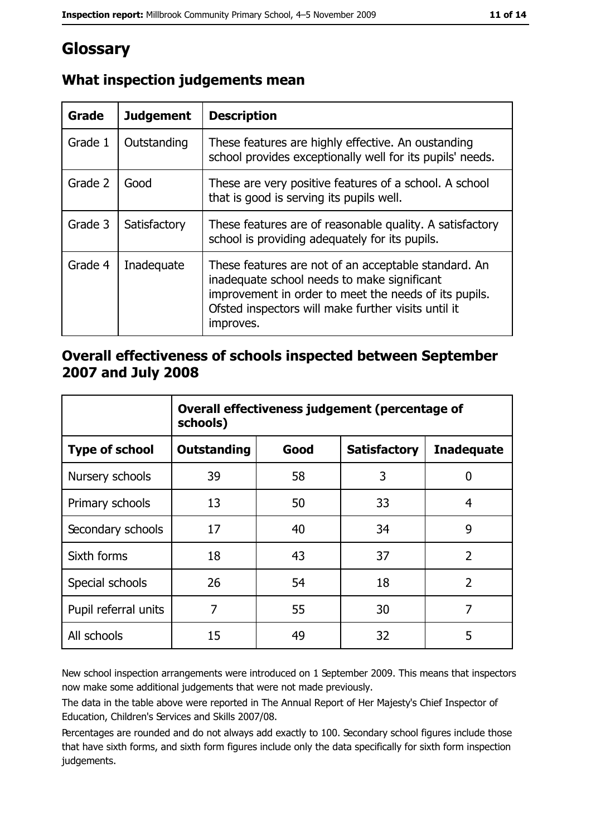## Glossary

| <b>Grade</b> | <b>Judgement</b> | <b>Description</b>                                                                                                                                                                                                               |
|--------------|------------------|----------------------------------------------------------------------------------------------------------------------------------------------------------------------------------------------------------------------------------|
| Grade 1      | Outstanding      | These features are highly effective. An oustanding<br>school provides exceptionally well for its pupils' needs.                                                                                                                  |
| Grade 2      | Good             | These are very positive features of a school. A school<br>that is good is serving its pupils well.                                                                                                                               |
| Grade 3      | Satisfactory     | These features are of reasonable quality. A satisfactory<br>school is providing adequately for its pupils.                                                                                                                       |
| Grade 4      | Inadequate       | These features are not of an acceptable standard. An<br>inadequate school needs to make significant<br>improvement in order to meet the needs of its pupils.<br>Ofsted inspectors will make further visits until it<br>improves. |

## What inspection judgements mean

#### Overall effectiveness of schools inspected between September 2007 and July 2008

|                       | Overall effectiveness judgement (percentage of<br>schools) |      |                     |                   |
|-----------------------|------------------------------------------------------------|------|---------------------|-------------------|
| <b>Type of school</b> | Outstanding                                                | Good | <b>Satisfactory</b> | <b>Inadequate</b> |
| Nursery schools       | 39                                                         | 58   | 3                   | 0                 |
| Primary schools       | 13                                                         | 50   | 33                  | 4                 |
| Secondary schools     | 17                                                         | 40   | 34                  | 9                 |
| Sixth forms           | 18                                                         | 43   | 37                  | $\overline{2}$    |
| Special schools       | 26                                                         | 54   | 18                  | $\overline{2}$    |
| Pupil referral units  | 7                                                          | 55   | 30                  | 7                 |
| All schools           | 15                                                         | 49   | 32                  | 5                 |

New school inspection arrangements were introduced on 1 September 2009. This means that inspectors now make some additional judgements that were not made previously.

The data in the table above were reported in The Annual Report of Her Majesty's Chief Inspector of Education, Children's Services and Skills 2007/08.

Percentages are rounded and do not always add exactly to 100. Secondary school figures include those that have sixth forms, and sixth form figures include only the data specifically for sixth form inspection judgements.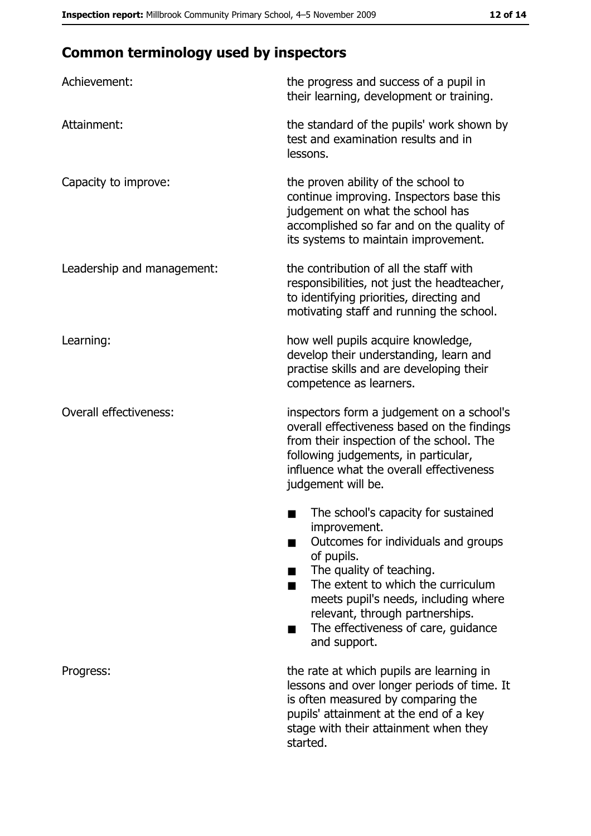# **Common terminology used by inspectors**

| Achievement:                  | the progress and success of a pupil in<br>their learning, development or training.                                                                                                                                                                                                                           |  |  |
|-------------------------------|--------------------------------------------------------------------------------------------------------------------------------------------------------------------------------------------------------------------------------------------------------------------------------------------------------------|--|--|
| Attainment:                   | the standard of the pupils' work shown by<br>test and examination results and in<br>lessons.                                                                                                                                                                                                                 |  |  |
| Capacity to improve:          | the proven ability of the school to<br>continue improving. Inspectors base this<br>judgement on what the school has<br>accomplished so far and on the quality of<br>its systems to maintain improvement.                                                                                                     |  |  |
| Leadership and management:    | the contribution of all the staff with<br>responsibilities, not just the headteacher,<br>to identifying priorities, directing and<br>motivating staff and running the school.                                                                                                                                |  |  |
| Learning:                     | how well pupils acquire knowledge,<br>develop their understanding, learn and<br>practise skills and are developing their<br>competence as learners.                                                                                                                                                          |  |  |
| <b>Overall effectiveness:</b> | inspectors form a judgement on a school's<br>overall effectiveness based on the findings<br>from their inspection of the school. The<br>following judgements, in particular,<br>influence what the overall effectiveness<br>judgement will be.                                                               |  |  |
|                               | The school's capacity for sustained<br>improvement.<br>Outcomes for individuals and groups<br>of pupils.<br>The quality of teaching.<br>The extent to which the curriculum<br>meets pupil's needs, including where<br>relevant, through partnerships.<br>The effectiveness of care, guidance<br>and support. |  |  |
| Progress:                     | the rate at which pupils are learning in<br>lessons and over longer periods of time. It<br>is often measured by comparing the<br>pupils' attainment at the end of a key<br>stage with their attainment when they<br>started.                                                                                 |  |  |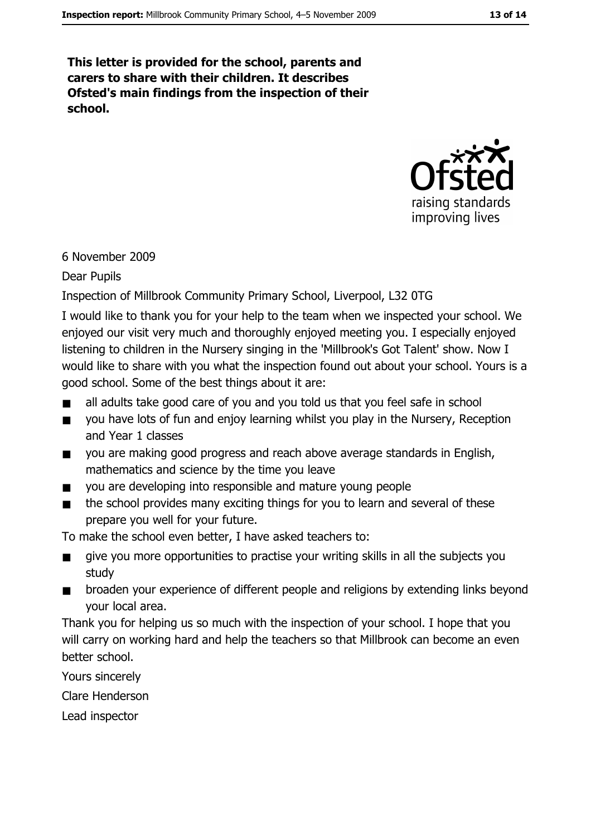This letter is provided for the school, parents and carers to share with their children. It describes Ofsted's main findings from the inspection of their school.



#### 6 November 2009

#### **Dear Pupils**

#### Inspection of Millbrook Community Primary School, Liverpool, L32 0TG

I would like to thank you for your help to the team when we inspected your school. We enioved our visit very much and thoroughly enioved meeting you. I especially enioved listening to children in the Nursery singing in the 'Millbrook's Got Talent' show. Now I would like to share with you what the inspection found out about your school. Yours is a good school. Some of the best things about it are:

- all adults take good care of you and you told us that you feel safe in school
- you have lots of fun and enjoy learning whilst you play in the Nursery, Reception  $\blacksquare$ and Year 1 classes
- you are making good progress and reach above average standards in English,  $\blacksquare$ mathematics and science by the time you leave
- you are developing into responsible and mature young people  $\blacksquare$
- the school provides many exciting things for you to learn and several of these  $\blacksquare$ prepare you well for your future.

To make the school even better, I have asked teachers to:

- give you more opportunities to practise your writing skills in all the subjects you  $\blacksquare$ study
- broaden your experience of different people and religions by extending links beyond  $\blacksquare$ vour local area.

Thank you for helping us so much with the inspection of your school. I hope that you will carry on working hard and help the teachers so that Millbrook can become an even better school.

Yours sincerely

Clare Henderson

Lead inspector